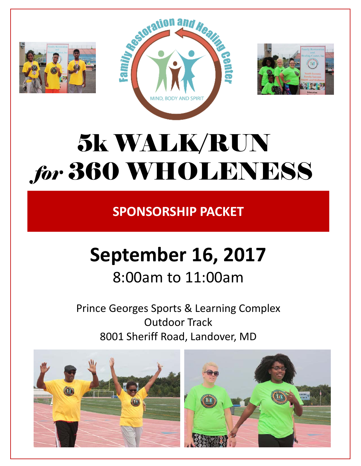





# 5k WALK/RUN *for* 360 WHOLENESS

**SPONSORSHIP PACKET**

# **September 16, 2017** 8:00am to 11:00am

# Prince Georges Sports & Learning Complex Outdoor Track

8001 Sheriff Road, Landover, MD

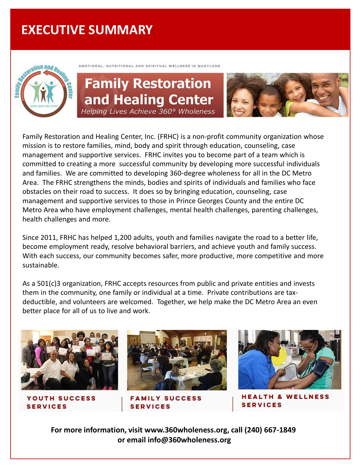## **EXECUTIVE SUMMARY**



EMOTIONAL, NUTRITIONAL AND SPIRITUAL WELLNESS IN MARYLAND

### **Family Restoration** and Healing Center Helping Lives Achieve 360° Wholeness



Family Restoration and Healing Center, Inc. (FRHC) is a non-profit community organization whose mission is to restore families, mind, body and spirit through education, counseling, case management and supportive services. FRHC invites you to become part of a team which is committed to creating a more successful community by developing more successful individuals and families. We are committed to developing 360-degree wholeness for all in the DC Metro Area. The FRHC strengthens the minds, bodies and spirits of individuals and families who face obstacles on their road to success. It does so by bringing education, counseling, case management and supportive services to those in Prince Georges County and the entire DC Metro Area who have employment challenges, mental health challenges, parenting challenges, health challenges and more.

Since 2011, FRHC has helped 1,200 adults, youth and families navigate the road to a better life, become employment ready, resolve behavioral barriers, and achieve youth and family success. With each success, our community becomes safer, more productive, more competitive and more sustainable.

As a 501(c)3 organization, FRHC accepts resources from public and private entities and invests them in the community, one family or individual at a time. Private contributions are taxdeductible, and volunteers are welcomed. Together, we help make the DC Metro Area an even better place for all of us to live and work.



**YOUTH SUCCESS SERVICES** 



**FAMILY SUCCESS SERVICES** 



**HEALTH & WELLNESS SERVICES** 

**For more information, visit www.360wholeness.org, call (240) 667-1849 or email info@360wholeness.org**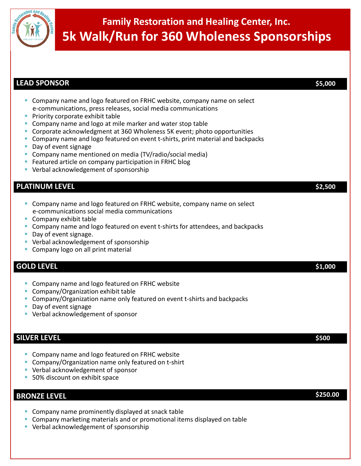

### **Family Restoration and Healing Center, Inc. 5k Walk/Run for 360 Wholeness Sponsorships**

| <b>LEAD SPONSOR</b>                                                                                                                                                                                                                                                                                                                                                                                                                                                                                                                                                                         | \$5,000 |
|---------------------------------------------------------------------------------------------------------------------------------------------------------------------------------------------------------------------------------------------------------------------------------------------------------------------------------------------------------------------------------------------------------------------------------------------------------------------------------------------------------------------------------------------------------------------------------------------|---------|
| Company name and logo featured on FRHC website, company name on select<br>e-communications, press releases, social media communications<br>Priority corporate exhibit table<br>Company name and logo at mile marker and water stop table<br>Corporate acknowledgment at 360 Wholeness 5K event; photo opportunities<br>Company name and logo featured on event t-shirts, print material and backpacks<br>Day of event signage<br>Company name mentioned on media (TV/radio/social media)<br>Featured article on company participation in FRHC blog<br>Verbal acknowledgement of sponsorship |         |
| <b>PLATINUM LEVEL</b>                                                                                                                                                                                                                                                                                                                                                                                                                                                                                                                                                                       | \$2,500 |
| Company name and logo featured on FRHC website, company name on select<br>e-communications social media communications<br>Company exhibit table<br>Company name and logo featured on event t-shirts for attendees, and backpacks<br>Day of event signage.<br>Verbal acknowledgement of sponsorship<br>Company logo on all print material                                                                                                                                                                                                                                                    |         |
| <b>GOLD LEVEL</b>                                                                                                                                                                                                                                                                                                                                                                                                                                                                                                                                                                           | \$1,000 |
| Company name and logo featured on FRHC website<br>Company/Organization exhibit table<br>Company/Organization name only featured on event t-shirts and backpacks<br>Day of event signage<br>Verbal acknowledgement of sponsor                                                                                                                                                                                                                                                                                                                                                                |         |
| <b>SILVER LEVEL</b>                                                                                                                                                                                                                                                                                                                                                                                                                                                                                                                                                                         | \$500   |
| Company name and logo featured on FRHC website<br>Company/Organization name only featured on t-shirt<br>Verbal acknowledgement of sponsor<br>50% discount on exhibit space                                                                                                                                                                                                                                                                                                                                                                                                                  |         |

#### **BRONZE LEVEL** \$250.00

- **Company name prominently displayed at snack table**
- Company marketing materials and or promotional items displayed on table
- **Verbal acknowledgement of sponsorship**